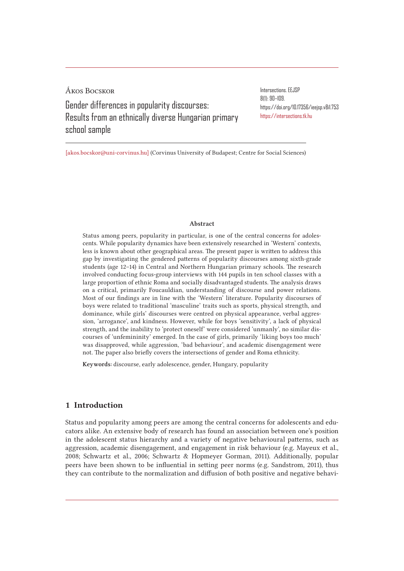Ákos Bocskor Gender differences in popularity discourses: Results from an ethnically diverse Hungarian primary school sample

Intersections. EEJSP 8(1): 90–109. https://doi.org/10.17356/ieejsp.v8i1.753 https://intersections.tk.hu

[akos.bocskor@uni-corvinus.hu] (Corvinus University of Budapest; Centre for Social Sciences)

#### Abstract

Status among peers, popularity in particular, is one of the central concerns for adolescents. While popularity dynamics have been extensively researched in 'Western' contexts, less is known about other geographical areas. The present paper is written to address this gap by investigating the gendered patterns of popularity discourses among sixth-grade students (age 12–14) in Central and Northern Hungarian primary schools. The research involved conducting focus-group interviews with 144 pupils in ten school classes with a large proportion of ethnic Roma and socially disadvantaged students. The analysis draws on a critical, primarily Foucauldian, understanding of discourse and power relations. Most of our findings are in line with the 'Western' literature. Popularity discourses of boys were related to traditional 'masculine' traits such as sports, physical strength, and dominance, while girls' discourses were centred on physical appearance, verbal aggression, 'arrogance', and kindness. However, while for boys 'sensitivity', a lack of physical strength, and the inability to 'protect oneself' were considered 'unmanly', no similar discourses of 'unfemininity' emerged. In the case of girls, primarily 'liking boys too much' was disapproved, while aggression, 'bad behaviour', and academic disengagement were not. The paper also briefly covers the intersections of gender and Roma ethnicity.

Keywords: discourse, early adolescence, gender, Hungary, popularity

# 1 Introduction

Status and popularity among peers are among the central concerns for adolescents and educators alike. An extensive body of research has found an association between one's position in the adolescent status hierarchy and a variety of negative behavioural patterns, such as aggression, academic disengagement, and engagement in risk behaviour (e.g. Mayeux et al., 2008; Schwartz et al., 2006; Schwartz & Hopmeyer Gorman, 2011). Additionally, popular peers have been shown to be influential in setting peer norms (e.g. Sandstrom, 2011), thus they can contribute to the normalization and diffusion of both positive and negative behavi-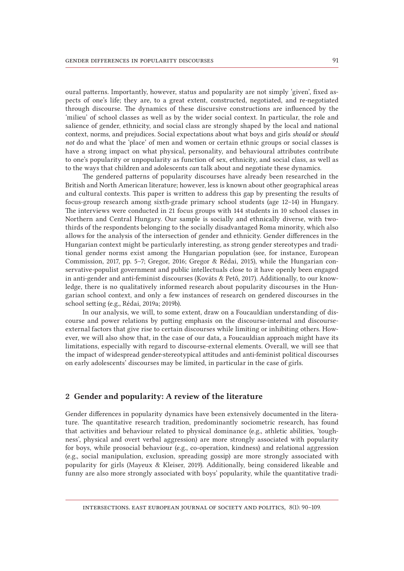oural patterns. Importantly, however, status and popularity are not simply 'given', fixed aspects of one's life; they are, to a great extent, constructed, negotiated, and re-negotiated through discourse. The dynamics of these discursive constructions are influenced by the 'milieu' of school classes as well as by the wider social context. In particular, the role and salience of gender, ethnicity, and social class are strongly shaped by the local and national context, norms, and prejudices. Social expectations about what boys and girls *should* or *should not* do and what the 'place' of men and women or certain ethnic groups or social classes is have a strong impact on what physical, personality, and behavioural attributes contribute to one's popularity or unpopularity as function of sex, ethnicity, and social class, as well as to the ways that children and adolescents *can* talk about and negotiate these dynamics.

The gendered patterns of popularity discourses have already been researched in the British and North American literature; however, less is known about other geographical areas and cultural contexts. This paper is written to address this gap by presenting the results of focus-group research among sixth-grade primary school students (age 12–14) in Hungary. The interviews were conducted in 21 focus groups with 144 students in 10 school classes in Northern and Central Hungary. Our sample is socially and ethnically diverse, with twothirds of the respondents belonging to the socially disadvantaged Roma minority, which also allows for the analysis of the intersection of gender and ethnicity. Gender differences in the Hungarian context might be particularly interesting, as strong gender stereotypes and traditional gender norms exist among the Hungarian population (see, for instance, European Commission, 2017, pp. 5–7; Gregor, 2016; Gregor & Rédai, 2015), while the Hungarian conservative-populist government and public intellectuals close to it have openly been engaged in anti-gender and anti-feminist discourses (Kováts & Pető, 2017). Additionally, to our knowledge, there is no qualitatively informed research about popularity discourses in the Hungarian school context, and only a few instances of research on gendered discourses in the school setting (e.g., Rédai, 2019a; 2019b).

In our analysis, we will, to some extent, draw on a Foucauldian understanding of discourse and power relations by putting emphasis on the discourse-internal and discourseexternal factors that give rise to certain discourses while limiting or inhibiting others. However, we will also show that, in the case of our data, a Foucauldian approach might have its limitations, especially with regard to discourse-external elements. Overall, we will see that the impact of widespread gender-stereotypical attitudes and anti-feminist political discourses on early adolescents' discourses may be limited, in particular in the case of girls.

# 2 Gender and popularity: A review of the literature

Gender differences in popularity dynamics have been extensively documented in the literature. The quantitative research tradition, predominantly sociometric research, has found that activities and behaviour related to physical dominance (e.g., athletic abilities, 'toughness', physical and overt verbal aggression) are more strongly associated with popularity for boys, while prosocial behaviour (e.g., co-operation, kindness) and relational aggression (e.g., social manipulation, exclusion, spreading gossip) are more strongly associated with popularity for girls (Mayeux & Kleiser, 2019). Additionally, being considered likeable and funny are also more strongly associated with boys' popularity, while the quantitative tradi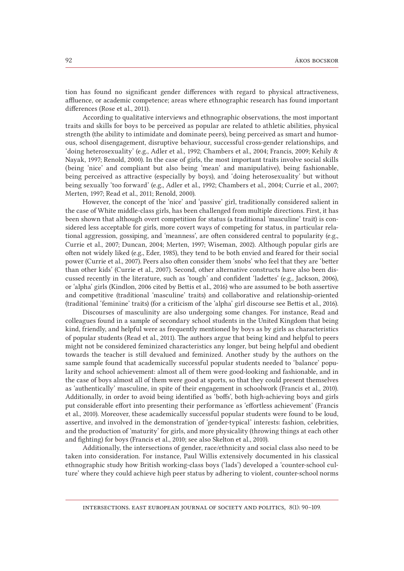tion has found no significant gender differences with regard to physical attractiveness, affluence, or academic competence; areas where ethnographic research has found important differences (Rose et al., 2011).

According to qualitative interviews and ethnographic observations, the most important traits and skills for boys to be perceived as popular are related to athletic abilities, physical strength (the ability to intimidate and dominate peers), being perceived as smart and humorous, school disengagement, disruptive behaviour, successful cross-gender relationships, and 'doing heterosexuality' (e.g., Adler et al., 1992; Chambers et al., 2004; Francis, 2009; Kehily & Nayak, 1997; Renold, 2000). In the case of girls, the most important traits involve social skills (being 'nice' and compliant but also being 'mean' and manipulative), being fashionable, being perceived as attractive (especially by boys), and 'doing heterosexuality' but without being sexually 'too forward' (e.g., Adler et al., 1992; Chambers et al., 2004; Currie et al., 2007; Merten, 1997; Read et al., 2011; Renold, 2000).

However, the concept of the 'nice' and 'passive' girl, traditionally considered salient in the case of White middle-class girls, has been challenged from multiple directions. First, it has been shown that although overt competition for status (a traditional 'masculine' trait) is considered less acceptable for girls, more covert ways of competing for status, in particular relational aggression, gossiping, and 'meanness', are often considered central to popularity (e.g., Currie et al., 2007; Duncan, 2004; Merten, 1997; Wiseman, 2002). Although popular girls are often not widely liked (e.g., Eder, 1985), they tend to be both envied and feared for their social power (Currie et al., 2007). Peers also often consider them 'snobs' who feel that they are 'better than other kids' (Currie et al., 2007). Second, other alternative constructs have also been discussed recently in the literature, such as 'tough' and confident 'ladettes' (e.g., Jackson, 2006), or 'alpha' girls (Kindlon, 2006 cited by Bettis et al., 2016) who are assumed to be both assertive and competitive (traditional 'masculine' traits) and collaborative and relationship-oriented (traditional 'feminine' traits) (for a criticism of the 'alpha' girl discourse see Bettis et al., 2016).

Discourses of masculinity are also undergoing some changes. For instance, Read and colleagues found in a sample of secondary school students in the United Kingdom that being kind, friendly, and helpful were as frequently mentioned by boys as by girls as characteristics of popular students (Read et al., 2011). The authors argue that being kind and helpful to peers might not be considered feminized characteristics any longer, but being helpful and obedient towards the teacher is still devalued and feminized. Another study by the authors on the same sample found that academically successful popular students needed to 'balance' popularity and school achievement: almost all of them were good-looking and fashionable, and in the case of boys almost all of them were good at sports, so that they could present themselves as 'authentically' masculine, in spite of their engagement in schoolwork (Francis et al., 2010). Additionally, in order to avoid being identified as 'boffs', both high-achieving boys and girls put considerable effort into presenting their performance as 'effortless achievement' (Francis et al., 2010). Moreover, these academically successful popular students were found to be loud, assertive, and involved in the demonstration of 'gender-typical' interests: fashion, celebrities, and the production of 'maturity' for girls, and more physicality (throwing things at each other and fighting) for boys (Francis et al., 2010; see also Skelton et al., 2010).

Additionally, the intersections of gender, race/ethnicity and social class also need to be taken into consideration. For instance, Paul Willis extensively documented in his classical ethnographic study how British working-class boys ('lads') developed a 'counter-school culture' where they could achieve high peer status by adhering to violent, counter-school norms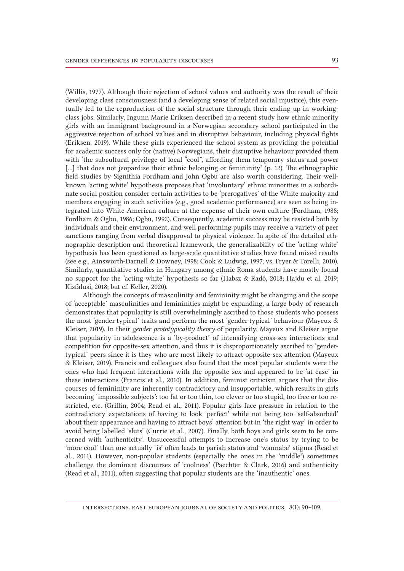(Willis, 1977). Although their rejection of school values and authority was the result of their developing class consciousness (and a developing sense of related social injustice), this eventually led to the reproduction of the social structure through their ending up in workingclass jobs. Similarly, Ingunn Marie Eriksen described in a recent study how ethnic minority girls with an immigrant background in a Norwegian secondary school participated in the aggressive rejection of school values and in disruptive behaviour, including physical fights (Eriksen, 2019). While these girls experienced the school system as providing the potential for academic success only for (native) Norwegians, their disruptive behaviour provided them with 'the subcultural privilege of local "cool", affording them temporary status and power [...] that does not jeopardise their ethnic belonging or femininity' (p. 12). The ethnographic field studies by Signithia Fordham and John Ogbu are also worth considering. Their wellknown 'acting white' hypothesis proposes that 'involuntary' ethnic minorities in a subordinate social position consider certain activities to be 'prerogatives' of the White majority and members engaging in such activities (e.g., good academic performance) are seen as being integrated into White American culture at the expense of their own culture (Fordham, 1988; Fordham & Ogbu, 1986; Ogbu, 1992). Consequently, academic success may be resisted both by individuals and their environment, and well performing pupils may receive a variety of peer sanctions ranging from verbal disapproval to physical violence. In spite of the detailed ethnographic description and theoretical framework, the generalizability of the 'acting white' hypothesis has been questioned as large-scale quantitative studies have found mixed results (see e.g., Ainsworth-Darnell & Downey, 1998; Cook & Ludwig, 1997; vs. Fryer & Torelli, 2010). Similarly, quantitative studies in Hungary among ethnic Roma students have mostly found no support for the 'acting white' hypothesis so far (Habsz & Radó, 2018; Hajdu et al. 2019; Kisfalusi, 2018; but cf. Keller, 2020).

Although the concepts of masculinity and femininity might be changing and the scope of 'acceptable' masculinities and femininities might be expanding, a large body of research demonstrates that popularity is still overwhelmingly ascribed to those students who possess the most 'gender-typical' traits and perform the most 'gender-typical' behaviour (Mayeux & Kleiser, 2019). In their *gender prototypicality theory* of popularity, Mayeux and Kleiser argue that popularity in adolescence is a 'by-product' of intensifying cross-sex interactions and competition for opposite-sex attention, and thus it is disproportionately ascribed to 'gendertypical' peers since it is they who are most likely to attract opposite-sex attention (Mayeux & Kleiser, 2019). Francis and colleagues also found that the most popular students were the ones who had frequent interactions with the opposite sex and appeared to be 'at ease' in these interactions (Francis et al., 2010). In addition, feminist criticism argues that the discourses of femininity are inherently contradictory and insupportable, which results in girls becoming 'impossible subjects': too fat or too thin, too clever or too stupid, too free or too restricted, etc. (Griffin, 2004; Read et al., 2011). Popular girls face pressure in relation to the contradictory expectations of having to look 'perfect' while not being too 'self-absorbed' about their appearance and having to attract boys' attention but in 'the right way' in order to avoid being labelled 'sluts' (Currie et al., 2007). Finally, both boys and girls seem to be concerned with 'authenticity'. Unsuccessful attempts to increase one's status by trying to be 'more cool' than one actually 'is' often leads to pariah status and 'wannabe' stigma (Read et al., 2011). However, non-popular students (especially the ones in the 'middle') sometimes challenge the dominant discourses of 'coolness' (Paechter & Clark, 2016) and authenticity (Read et al., 2011), often suggesting that popular students are the 'inauthentic' ones.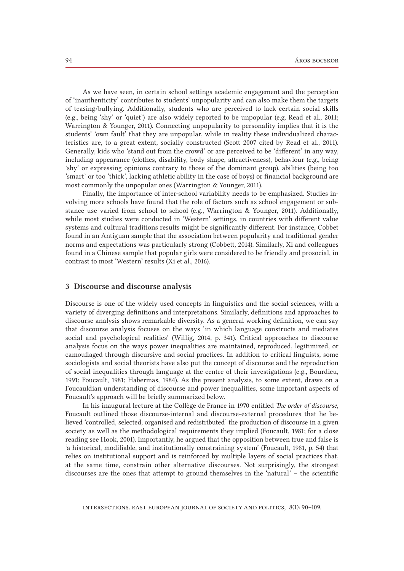As we have seen, in certain school settings academic engagement and the perception of 'inauthenticity' contributes to students' unpopularity and can also make them the targets of teasing/bullying. Additionally, students who are perceived to lack certain social skills (e.g., being 'shy' or 'quiet') are also widely reported to be unpopular (e.g. Read et al., 2011; Warrington & Younger, 2011). Connecting unpopularity to personality implies that it is the students' 'own fault' that they are unpopular, while in reality these individualized characteristics are, to a great extent, socially constructed (Scott 2007 cited by Read et al., 2011). Generally, kids who 'stand out from the crowd' or are perceived to be 'different' in any way, including appearance (clothes, disability, body shape, attractiveness), behaviour (e.g., being 'shy' or expressing opinions contrary to those of the dominant group), abilities (being too 'smart' or too 'thick', lacking athletic ability in the case of boys) or financial background are most commonly the unpopular ones (Warrington & Younger, 2011).

Finally, the importance of inter-school variability needs to be emphasized. Studies involving more schools have found that the role of factors such as school engagement or substance use varied from school to school (e.g., Warrington & Younger, 2011). Additionally, while most studies were conducted in 'Western' settings, in countries with different value systems and cultural traditions results might be significantly different. For instance, Cobbet found in an Antiguan sample that the association between popularity and traditional gender norms and expectations was particularly strong (Cobbett, 2014). Similarly, Xi and colleagues found in a Chinese sample that popular girls were considered to be friendly and prosocial, in contrast to most 'Western' results (Xi et al., 2016).

### 3 Discourse and discourse analysis

Discourse is one of the widely used concepts in linguistics and the social sciences, with a variety of diverging definitions and interpretations. Similarly, definitions and approaches to discourse analysis shows remarkable diversity. As a general working definition, we can say that discourse analysis focuses on the ways 'in which language constructs and mediates social and psychological realities' (Willig, 2014, p. 341). Critical approaches to discourse analysis focus on the ways power inequalities are maintained, reproduced, legitimized, or camouflaged through discursive and social practices. In addition to critical linguists, some sociologists and social theorists have also put the concept of discourse and the reproduction of social inequalities through language at the centre of their investigations (e.g., Bourdieu, 1991; Foucault, 1981; Habermas, 1984). As the present analysis, to some extent, draws on a Foucauldian understanding of discourse and power inequalities, some important aspects of Foucault's approach will be briefly summarized below.

In his inaugural lecture at the Collège de France in 1970 entitled *The order of discourse*, Foucault outlined those discourse-internal and discourse-external procedures that he believed 'controlled, selected, organised and redistributed' the production of discourse in a given society as well as the methodological requirements they implied (Foucault, 1981; for a close reading see Hook, 2001). Importantly, he argued that the opposition between true and false is 'a historical, modifiable, and institutionally constraining system' (Foucault, 1981, p. 54) that relies on institutional support and is reinforced by multiple layers of social practices that, at the same time, constrain other alternative discourses. Not surprisingly, the strongest discourses are the ones that attempt to ground themselves in the 'natural' – the scientific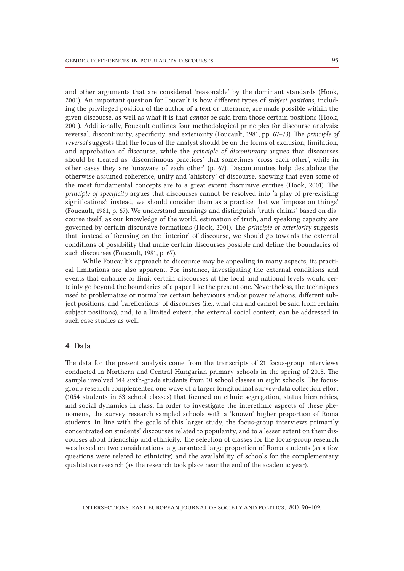and other arguments that are considered 'reasonable' by the dominant standards (Hook, 2001). An important question for Foucault is how different types of *subject positions*, including the privileged position of the author of a text or utterance, are made possible within the given discourse, as well as what it is that *cannot* be said from those certain positions (Hook, 2001). Additionally, Foucault outlines four methodological principles for discourse analysis: reversal, discontinuity, specificity, and exteriority (Foucault, 1981, pp. 67–73). The *principle of reversal* suggests that the focus of the analyst should be on the forms of exclusion, limitation, and approbation of discourse, while the *principle of discontinuity* argues that discourses should be treated as 'discontinuous practices' that sometimes 'cross each other', while in other cases they are 'unaware of each other' (p. 67). Discontinuities help destabilize the otherwise assumed coherence, unity and 'ahistory' of discourse, showing that even some of the most fundamental concepts are to a great extent discursive entities (Hook, 2001). The *principle of specificity* argues that discourses cannot be resolved into 'a play of pre-existing significations'; instead, we should consider them as a practice that we 'impose on things' (Foucault, 1981, p. 67). We understand meanings and distinguish 'truth-claims' based on discourse itself, as our knowledge of the world, estimation of truth, and speaking capacity are governed by certain discursive formations (Hook, 2001). The *principle of exteriority* suggests that, instead of focusing on the 'interior' of discourse, we should go towards the external conditions of possibility that make certain discourses possible and define the boundaries of such discourses (Foucault, 1981, p. 67).

While Foucault's approach to discourse may be appealing in many aspects, its practical limitations are also apparent. For instance, investigating the external conditions and events that enhance or limit certain discourses at the local and national levels would certainly go beyond the boundaries of a paper like the present one. Nevertheless, the techniques used to problematize or normalize certain behaviours and/or power relations, different subject positions, and 'rarefications' of discourses (i.e., what can and cannot be said from certain subject positions), and, to a limited extent, the external social context, can be addressed in such case studies as well.

# 4 Data

The data for the present analysis come from the transcripts of 21 focus-group interviews conducted in Northern and Central Hungarian primary schools in the spring of 2015. The sample involved 144 sixth-grade students from 10 school classes in eight schools. The focusgroup research complemented one wave of a larger longitudinal survey-data collection effort (1054 students in 53 school classes) that focused on ethnic segregation, status hierarchies, and social dynamics in class. In order to investigate the interethnic aspects of these phenomena, the survey research sampled schools with a 'known' higher proportion of Roma students. In line with the goals of this larger study, the focus-group interviews primarily concentrated on students' discourses related to popularity, and to a lesser extent on their discourses about friendship and ethnicity. The selection of classes for the focus-group research was based on two considerations: a guaranteed large proportion of Roma students (as a few questions were related to ethnicity) and the availability of schools for the complementary qualitative research (as the research took place near the end of the academic year).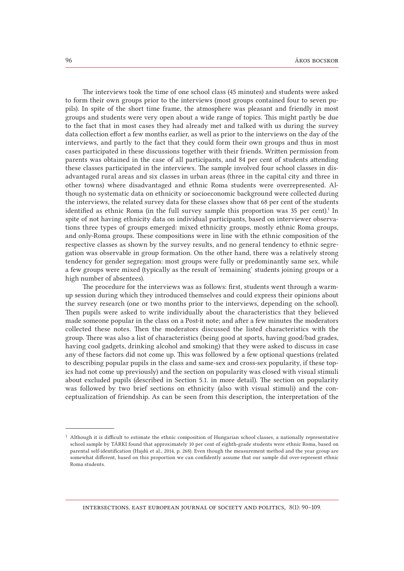The interviews took the time of one school class (45 minutes) and students were asked to form their own groups prior to the interviews (most groups contained four to seven pupils). In spite of the short time frame, the atmosphere was pleasant and friendly in most groups and students were very open about a wide range of topics. This might partly be due to the fact that in most cases they had already met and talked with us during the survey data collection effort a few months earlier, as well as prior to the interviews on the day of the interviews, and partly to the fact that they could form their own groups and thus in most cases participated in these discussions together with their friends. Written permission from parents was obtained in the case of all participants, and 84 per cent of students attending these classes participated in the interviews. The sample involved four school classes in disadvantaged rural areas and six classes in urban areas (three in the capital city and three in other towns) where disadvantaged and ethnic Roma students were overrepresented. Although no systematic data on ethnicity or socioeconomic background were collected during the interviews, the related survey data for these classes show that 68 per cent of the students identified as ethnic Roma (in the full survey sample this proportion was 35 per cent).<sup>1</sup> In spite of not having ethnicity data on individual participants, based on interviewer observations three types of groups emerged: mixed ethnicity groups, mostly ethnic Roma groups, and only-Roma groups. These compositions were in line with the ethnic composition of the respective classes as shown by the survey results, and no general tendency to ethnic segregation was observable in group formation. On the other hand, there was a relatively strong tendency for gender segregation: most groups were fully or predominantly same sex, while a few groups were mixed (typically as the result of 'remaining' students joining groups or a high number of absentees).

The procedure for the interviews was as follows: first, students went through a warmup session during which they introduced themselves and could express their opinions about the survey research (one or two months prior to the interviews, depending on the school). Then pupils were asked to write individually about the characteristics that they believed made someone popular in the class on a Post-it note; and after a few minutes the moderators collected these notes. Then the moderators discussed the listed characteristics with the group. There was also a list of characteristics (being good at sports, having good/bad grades, having cool gadgets, drinking alcohol and smoking) that they were asked to discuss in case any of these factors did not come up. This was followed by a few optional questions (related to describing popular pupils in the class and same-sex and cross-sex popularity, if these topics had not come up previously) and the section on popularity was closed with visual stimuli about excluded pupils (described in Section 5.1. in more detail). The section on popularity was followed by two brief sections on ethnicity (also with visual stimuli) and the conceptualization of friendship. As can be seen from this description, the interpretation of the

<sup>1</sup> Although it is difficult to estimate the ethnic composition of Hungarian school classes, a nationally representative school sample by TÁRKI found that approximately 10 per cent of eighth-grade students were ethnic Roma, based on parental self-identification (Hajdú et al., 2014, p. 268). Even though the measurement method and the year group are somewhat different, based on this proportion we can confidently assume that our sample did over-represent ethnic Roma students.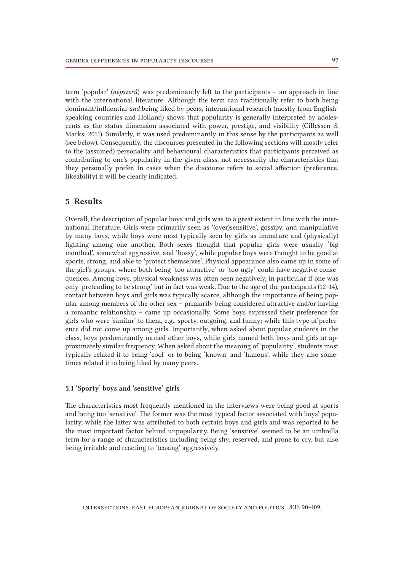term 'popular' (*népszerű*) was predominantly left to the participants – an approach in line with the international literature. Although the term can traditionally refer to both being dominant/influential *and* being liked by peers, international research (mostly from Englishspeaking countries and Holland) shows that popularity is generally interpreted by adolescents as the status dimension associated with power, prestige, and visibility (Cillessen & Marks, 2011). Similarly, it was used predominantly in this sense by the participants as well (see below). Consequently, the discourses presented in the following sections will mostly refer to the (assumed) personality and behavioural characteristics that participants perceived as contributing to one's popularity in the given class, not necessarily the characteristics that they personally prefer. In cases when the discourse refers to social affection (preference, likeability) it will be clearly indicated.

# 5 Results

Overall, the description of popular boys and girls was to a great extent in line with the international literature. Girls were primarily seen as '(over)sensitive', gossipy, and manipulative by many boys, while boys were most typically seen by girls as immature and (physically) fighting among one another. Both sexes thought that popular girls were usually 'big mouthed', somewhat aggressive, and 'bossy', while popular boys were thought to be good at sports, strong, and able to 'protect themselves'. Physical appearance also came up in some of the girl's groups, where both being 'too attractive' or 'too ugly' could have negative consequences. Among boys, physical weakness was often seen negatively, in particular if one was only 'pretending to be strong' but in fact was weak. Due to the age of the participants (12–14), contact between boys and girls was typically scarce, although the importance of being popular among members of the other sex – primarily being considered attractive and/or having a romantic relationship – came up occasionally. Some boys expressed their preference for girls who were 'similar' to them, e.g., sporty, outgoing, and funny; while this type of preference did not come up among girls. Importantly, when asked about popular students in the class, boys predominantly named other boys, while girls named both boys and girls at approximately similar frequency. When asked about the meaning of 'popularity', students most typically related it to being 'cool' or to being 'known' and 'famous', while they also sometimes related it to being liked by many peers.

### 5.1 'Sporty' boys and 'sensitive' girls

The characteristics most frequently mentioned in the interviews were being good at sports and being too 'sensitive'. The former was the most typical factor associated with boys' popularity, while the latter was attributed to both certain boys and girls and was reported to be the most important factor behind unpopularity. Being 'sensitive' seemed to be an umbrella term for a range of characteristics including being shy, reserved, and prone to cry, but also being irritable and reacting to 'teasing' aggressively.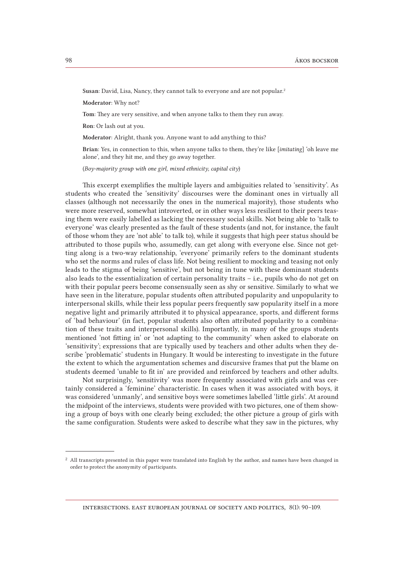Susan: David, Lisa, Nancy, they cannot talk to everyone and are not popular.2

Moderator: Why not?

Tom: They are very sensitive, and when anyone talks to them they run away.

Ron: Or lash out at you.

Moderator: Alright, thank you. Anyone want to add anything to this?

Brian: Yes, in connection to this, when anyone talks to them, they're like [*imitating*] 'oh leave me alone', and they hit me, and they go away together.

(*Boy-majority group with one girl, mixed ethnicity, capital city*)

This excerpt exemplifies the multiple layers and ambiguities related to 'sensitivity'. As students who created the 'sensitivity' discourses were the dominant ones in virtually all classes (although not necessarily the ones in the numerical majority), those students who were more reserved, somewhat introverted, or in other ways less resilient to their peers teasing them were easily labelled as lacking the necessary social skills. Not being able to 'talk to everyone' was clearly presented as the fault of these students (and not, for instance, the fault of those whom they are 'not able' to talk to), while it suggests that high peer status should be attributed to those pupils who, assumedly, can get along with everyone else. Since not getting along is a two-way relationship, 'everyone' primarily refers to the dominant students who set the norms and rules of class life. Not being resilient to mocking and teasing not only leads to the stigma of being 'sensitive', but not being in tune with these dominant students also leads to the essentialization of certain personality traits – i.e., pupils who do not get on with their popular peers become consensually seen as shy or sensitive. Similarly to what we have seen in the literature, popular students often attributed popularity and unpopularity to interpersonal skills, while their less popular peers frequently saw popularity itself in a more negative light and primarily attributed it to physical appearance, sports, and different forms of 'bad behaviour' (in fact, popular students also often attributed popularity to a combination of these traits and interpersonal skills). Importantly, in many of the groups students mentioned 'not fitting in' or 'not adapting to the community' when asked to elaborate on 'sensitivity'; expressions that are typically used by teachers and other adults when they describe 'problematic' students in Hungary. It would be interesting to investigate in the future the extent to which the argumentation schemes and discursive frames that put the blame on students deemed 'unable to fit in' are provided and reinforced by teachers and other adults.

Not surprisingly, 'sensitivity' was more frequently associated with girls and was certainly considered a 'feminine' characteristic. In cases when it was associated with boys, it was considered 'unmanly', and sensitive boys were sometimes labelled 'little girls'. At around the midpoint of the interviews, students were provided with two pictures, one of them showing a group of boys with one clearly being excluded; the other picture a group of girls with the same configuration. Students were asked to describe what they saw in the pictures, why

<sup>&</sup>lt;sup>2</sup> All transcripts presented in this paper were translated into English by the author, and names have been changed in order to protect the anonymity of participants.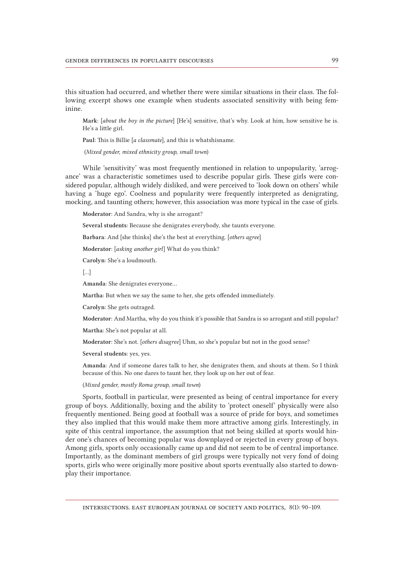this situation had occurred, and whether there were similar situations in their class. The following excerpt shows one example when students associated sensitivity with being feminine.

Mark: [*about the boy in the picture*] [He's] sensitive, that's why. Look at him, how sensitive he is. He's a little girl.

Paul: This is Billie [*a classmate*], and this is whatshisname.

(*Mixed gender, mixed ethnicity group, small town*)

While 'sensitivity' was most frequently mentioned in relation to unpopularity, 'arrogance' was a characteristic sometimes used to describe popular girls. These girls were considered popular, although widely disliked, and were perceived to 'look down on others' while having a 'huge ego'. Coolness and popularity were frequently interpreted as denigrating, mocking, and taunting others; however, this association was more typical in the case of girls.

Moderator: And Sandra, why is she arrogant?

Several students: Because she denigrates everybody, she taunts everyone.

Barbara: And [she thinks] she's the best at everything. [*others agree*]

Moderator: [*asking another girl*] What do you think?

Carolyn: She's a loudmouth.

[…]

Amanda: She denigrates everyone…

Martha: But when we say the same to her, she gets offended immediately.

Carolyn: She gets outraged.

Moderator: And Martha, why do you think it's possible that Sandra is so arrogant and still popular?

Martha: She's not popular at all.

Moderator: She's not. [*others disagree*] Uhm, so she's popular but not in the good sense?

Several students: yes, yes.

Amanda: And if someone dares talk to her, she denigrates them, and shouts at them. So I think because of this. No one dares to taunt her, they look up on her out of fear.

(*Mixed gender, mostly Roma group, small town*)

Sports, football in particular, were presented as being of central importance for every group of boys. Additionally, boxing and the ability to 'protect oneself' physically were also frequently mentioned. Being good at football was a source of pride for boys, and sometimes they also implied that this would make them more attractive among girls. Interestingly, in spite of this central importance, the assumption that not being skilled at sports would hinder one's chances of becoming popular was downplayed or rejected in every group of boys. Among girls, sports only occasionally came up and did not seem to be of central importance. Importantly, as the dominant members of girl groups were typically not very fond of doing sports, girls who were originally more positive about sports eventually also started to downplay their importance.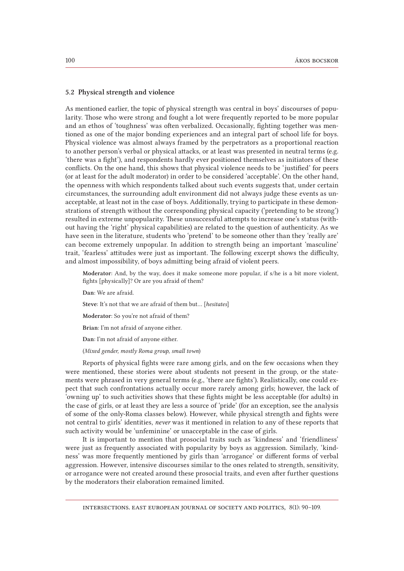### 5.2 Physical strength and violence

As mentioned earlier, the topic of physical strength was central in boys' discourses of popularity. Those who were strong and fought a lot were frequently reported to be more popular and an ethos of 'toughness' was often verbalized. Occasionally, fighting together was mentioned as one of the major bonding experiences and an integral part of school life for boys. Physical violence was almost always framed by the perpetrators as a proportional reaction to another person's verbal or physical attacks, or at least was presented in neutral terms (e.g. 'there was a fight'), and respondents hardly ever positioned themselves as initiators of these conflicts. On the one hand, this shows that physical violence needs to be 'justified' for peers (or at least for the adult moderator) in order to be considered 'acceptable'. On the other hand, the openness with which respondents talked about such events suggests that, under certain circumstances, the surrounding adult environment did not always judge these events as unacceptable, at least not in the case of boys. Additionally, trying to participate in these demonstrations of strength without the corresponding physical capacity ('pretending to be strong') resulted in extreme unpopularity. These unsuccessful attempts to increase one's status (without having the 'right' physical capabilities) are related to the question of authenticity. As we have seen in the literature, students who 'pretend' to be someone other than they 'really are' can become extremely unpopular. In addition to strength being an important 'masculine' trait, 'fearless' attitudes were just as important. The following excerpt shows the difficulty, and almost impossibility, of boys admitting being afraid of violent peers.

Moderator: And, by the way, does it make someone more popular, if s/he is a bit more violent, fights [physically]? Or are you afraid of them?

Dan: We are afraid.

Steve: It's not that we are afraid of them but… [*hesitates*]

Moderator: So you're not afraid of them?

Brian: I'm not afraid of anyone either.

Dan: I'm not afraid of anyone either.

(*Mixed gender, mostly Roma group, small town*)

Reports of physical fights were rare among girls, and on the few occasions when they were mentioned, these stories were about students not present in the group, or the statements were phrased in very general terms (e.g., 'there are fights'). Realistically, one could expect that such confrontations actually occur more rarely among girls; however, the lack of 'owning up' to such activities shows that these fights might be less acceptable (for adults) in the case of girls, or at least they are less a source of 'pride' (for an exception, see the analysis of some of the only-Roma classes below). However, while physical strength and fights were not central to girls' identities, *never* was it mentioned in relation to any of these reports that such activity would be 'unfeminine' or unacceptable in the case of girls.

It is important to mention that prosocial traits such as 'kindness' and 'friendliness' were just as frequently associated with popularity by boys as aggression. Similarly, 'kindness' was more frequently mentioned by girls than 'arrogance' or different forms of verbal aggression. However, intensive discourses similar to the ones related to strength, sensitivity, or arrogance were not created around these prosocial traits, and even after further questions by the moderators their elaboration remained limited.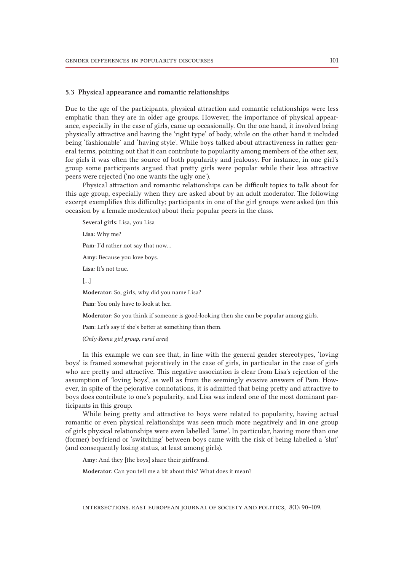### 5.3 Physical appearance and romantic relationships

Due to the age of the participants, physical attraction and romantic relationships were less emphatic than they are in older age groups. However, the importance of physical appearance, especially in the case of girls, came up occasionally. On the one hand, it involved being physically attractive and having the 'right type' of body, while on the other hand it included being 'fashionable' and 'having style'. While boys talked about attractiveness in rather general terms, pointing out that it can contribute to popularity among members of the other sex, for girls it was often the source of both popularity and jealousy. For instance, in one girl's group some participants argued that pretty girls were popular while their less attractive peers were rejected ('no one wants the ugly one').

Physical attraction and romantic relationships can be difficult topics to talk about for this age group, especially when they are asked about by an adult moderator. The following excerpt exemplifies this difficulty; participants in one of the girl groups were asked (on this occasion by a female moderator) about their popular peers in the class.

Several girls: Lisa, you Lisa

Lisa: Why me?

Pam: I'd rather not say that now…

Amy: Because you love boys.

Lisa: It's not true.

[…]

Moderator: So, girls, why did you name Lisa?

Pam: You only have to look at her.

Moderator: So you think if someone is good-looking then she can be popular among girls.

Pam: Let's say if she's better at something than them.

(*Only-Roma girl group, rural area*)

In this example we can see that, in line with the general gender stereotypes, 'loving boys' is framed somewhat pejoratively in the case of girls, in particular in the case of girls who are pretty and attractive. This negative association is clear from Lisa's rejection of the assumption of 'loving boys', as well as from the seemingly evasive answers of Pam. However, in spite of the pejorative connotations, it is admitted that being pretty and attractive to boys does contribute to one's popularity, and Lisa was indeed one of the most dominant participants in this group.

While being pretty and attractive to boys were related to popularity, having actual romantic or even physical relationships was seen much more negatively and in one group of girls physical relationships were even labelled 'lame'. In particular, having more than one (former) boyfriend or 'switching' between boys came with the risk of being labelled a 'slut' (and consequently losing status, at least among girls).

Amy: And they [the boys] share their girlfriend.

Moderator: Can you tell me a bit about this? What does it mean?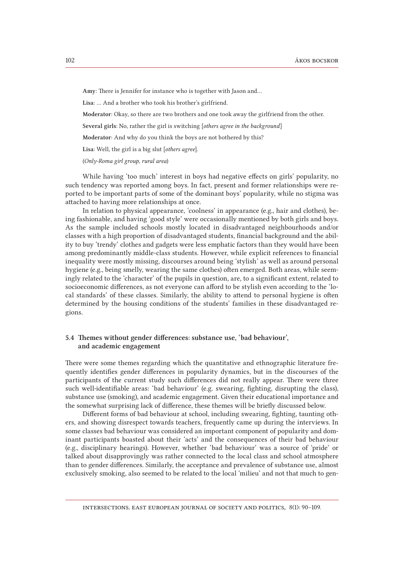Amy: There is Jennifer for instance who is together with Jason and…

Lisa: … And a brother who took his brother's girlfriend.

Moderator: Okay, so there are two brothers and one took away the girlfriend from the other.

Several girls: No, rather the girl is switching [*others agree in the background*]

Moderator: And why do you think the boys are not bothered by this?

Lisa: Well, the girl is a big slut [*others agree*].

(*Only-Roma girl group, rural area*)

While having 'too much' interest in boys had negative effects on girls' popularity, no such tendency was reported among boys. In fact, present and former relationships were reported to be important parts of some of the dominant boys' popularity, while no stigma was attached to having more relationships at once.

In relation to physical appearance, 'coolness' in appearance (e.g., hair and clothes), being fashionable, and having 'good style' were occasionally mentioned by both girls and boys. As the sample included schools mostly located in disadvantaged neighbourhoods and/or classes with a high proportion of disadvantaged students, financial background and the ability to buy 'trendy' clothes and gadgets were less emphatic factors than they would have been among predominantly middle-class students. However, while explicit references to financial inequality were mostly missing, discourses around being 'stylish' as well as around personal hygiene (e.g., being smelly, wearing the same clothes) often emerged. Both areas, while seemingly related to the 'character' of the pupils in question, are, to a significant extent, related to socioeconomic differences, as not everyone can afford to be stylish even according to the 'local standards' of these classes. Similarly, the ability to attend to personal hygiene is often determined by the housing conditions of the students' families in these disadvantaged regions.

### 5.4 Themes without gender differences: substance use, 'bad behaviour', and academic engagement

There were some themes regarding which the quantitative and ethnographic literature frequently identifies gender differences in popularity dynamics, but in the discourses of the participants of the current study such differences did not really appear. There were three such well-identifiable areas: 'bad behaviour' (e.g. swearing, fighting, disrupting the class), substance use (smoking), and academic engagement. Given their educational importance and the somewhat surprising lack of difference, these themes will be briefly discussed below.

Different forms of bad behaviour at school, including swearing, fighting, taunting others, and showing disrespect towards teachers, frequently came up during the interviews. In some classes bad behaviour was considered an important component of popularity and dominant participants boasted about their 'acts' and the consequences of their bad behaviour (e.g., disciplinary hearings). However, whether 'bad behaviour' was a source of 'pride' or talked about disapprovingly was rather connected to the local class and school atmosphere than to gender differences. Similarly, the acceptance and prevalence of substance use, almost exclusively smoking, also seemed to be related to the local 'milieu' and not that much to gen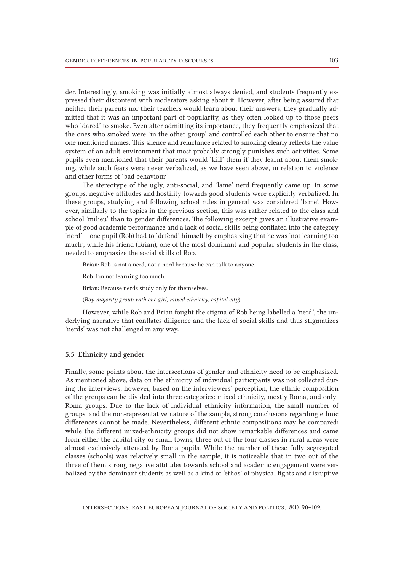der. Interestingly, smoking was initially almost always denied, and students frequently expressed their discontent with moderators asking about it. However, after being assured that neither their parents nor their teachers would learn about their answers, they gradually admitted that it was an important part of popularity, as they often looked up to those peers who 'dared' to smoke. Even after admitting its importance, they frequently emphasized that the ones who smoked were 'in the other group' and controlled each other to ensure that no one mentioned names. This silence and reluctance related to smoking clearly reflects the value system of an adult environment that most probably strongly punishes such activities. Some pupils even mentioned that their parents would 'kill' them if they learnt about them smoking, while such fears were never verbalized, as we have seen above, in relation to violence and other forms of 'bad behaviour'.

The stereotype of the ugly, anti-social, and 'lame' nerd frequently came up. In some groups, negative attitudes and hostility towards good students were explicitly verbalized. In these groups, studying and following school rules in general was considered 'lame'. However, similarly to the topics in the previous section, this was rather related to the class and school 'milieu' than to gender differences. The following excerpt gives an illustrative example of good academic performance and a lack of social skills being conflated into the category 'nerd' – one pupil (Rob) had to 'defend' himself by emphasizing that he was 'not learning too much', while his friend (Brian), one of the most dominant and popular students in the class, needed to emphasize the social skills of Rob.

Brian: Rob is not a nerd, not a nerd because he can talk to anyone.

Rob: I'm not learning too much.

Brian: Because nerds study only for themselves.

(*Boy-majority group with one girl, mixed ethnicity, capital city*)

However, while Rob and Brian fought the stigma of Rob being labelled a 'nerd', the underlying narrative that conflates diligence and the lack of social skills and thus stigmatizes 'nerds' was not challenged in any way.

#### 5.5 Ethnicity and gender

Finally, some points about the intersections of gender and ethnicity need to be emphasized. As mentioned above, data on the ethnicity of individual participants was not collected during the interviews; however, based on the interviewers' perception, the ethnic composition of the groups can be divided into three categories: mixed ethnicity, mostly Roma, and only-Roma groups. Due to the lack of individual ethnicity information, the small number of groups, and the non-representative nature of the sample, strong conclusions regarding ethnic differences cannot be made. Nevertheless, different ethnic compositions may be compared: while the different mixed-ethnicity groups did not show remarkable differences and came from either the capital city or small towns, three out of the four classes in rural areas were almost exclusively attended by Roma pupils. While the number of these fully segregated classes (schools) was relatively small in the sample, it is noticeable that in two out of the three of them strong negative attitudes towards school and academic engagement were verbalized by the dominant students as well as a kind of 'ethos' of physical fights and disruptive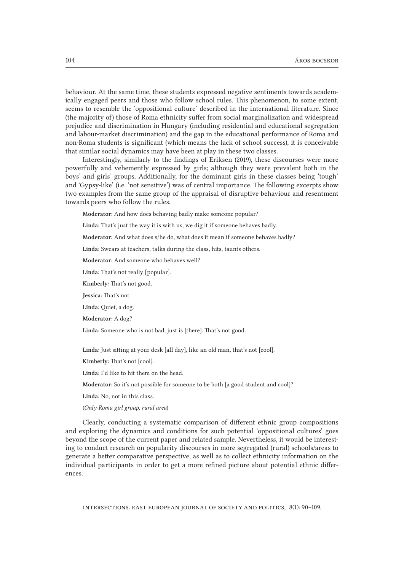behaviour. At the same time, these students expressed negative sentiments towards academically engaged peers and those who follow school rules. This phenomenon, to some extent, seems to resemble the 'oppositional culture' described in the international literature. Since (the majority of) those of Roma ethnicity suffer from social marginalization and widespread prejudice and discrimination in Hungary (including residential and educational segregation and labour-market discrimination) and the gap in the educational performance of Roma and non-Roma students is significant (which means the lack of school success), it is conceivable that similar social dynamics may have been at play in these two classes.

Interestingly, similarly to the findings of Eriksen (2019), these discourses were more powerfully and vehemently expressed by girls; although they were prevalent both in the boys' and girls' groups. Additionally, for the dominant girls in these classes being 'tough' and 'Gypsy-like' (i.e. 'not sensitive') was of central importance. The following excerpts show two examples from the same group of the appraisal of disruptive behaviour and resentment towards peers who follow the rules.

Moderator: And how does behaving badly make someone popular?

Linda: That's just the way it is with us, we dig it if someone behaves badly.

Moderator: And what does s/he do, what does it mean if someone behaves badly?

Linda: Swears at teachers, talks during the class, hits, taunts others.

Moderator: And someone who behaves well?

Linda: That's not really [popular].

Kimberly: That's not good.

Jessica: That's not.

Linda: Quiet, a dog.

Moderator: A dog?

Linda: Someone who is not bad, just is [there]. That's not good.

Linda: Just sitting at your desk [all day], like an old man, that's not [cool].

Kimberly: That's not [cool].

Linda: I'd like to hit them on the head.

Moderator: So it's not possible for someone to be both [a good student and cool]?

Linda: No, not in this class.

(*Only-Roma girl group, rural area*)

Clearly, conducting a systematic comparison of different ethnic group compositions and exploring the dynamics and conditions for such potential 'oppositional cultures' goes beyond the scope of the current paper and related sample. Nevertheless, it would be interesting to conduct research on popularity discourses in more segregated (rural) schools/areas to generate a better comparative perspective, as well as to collect ethnicity information on the individual participants in order to get a more refined picture about potential ethnic differences.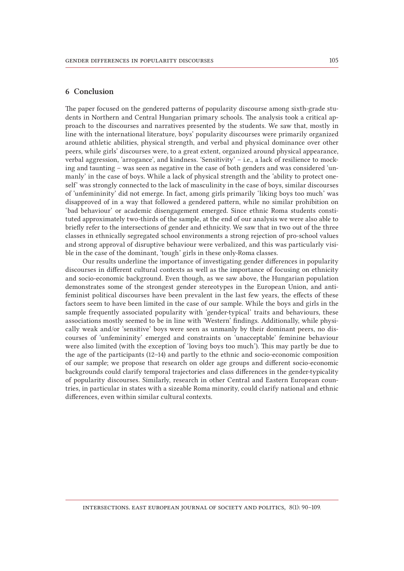# 6 Conclusion

The paper focused on the gendered patterns of popularity discourse among sixth-grade students in Northern and Central Hungarian primary schools. The analysis took a critical approach to the discourses and narratives presented by the students. We saw that, mostly in line with the international literature, boys' popularity discourses were primarily organized around athletic abilities, physical strength, and verbal and physical dominance over other peers, while girls' discourses were, to a great extent, organized around physical appearance, verbal aggression, 'arrogance', and kindness. 'Sensitivity' – i.e., a lack of resilience to mocking and taunting – was seen as negative in the case of both genders and was considered 'unmanly' in the case of boys. While a lack of physical strength and the 'ability to protect oneself' was strongly connected to the lack of masculinity in the case of boys, similar discourses of 'unfemininity' did not emerge. In fact, among girls primarily 'liking boys too much' was disapproved of in a way that followed a gendered pattern, while no similar prohibition on 'bad behaviour' or academic disengagement emerged. Since ethnic Roma students constituted approximately two-thirds of the sample, at the end of our analysis we were also able to briefly refer to the intersections of gender and ethnicity. We saw that in two out of the three classes in ethnically segregated school environments a strong rejection of pro-school values and strong approval of disruptive behaviour were verbalized, and this was particularly visible in the case of the dominant, 'tough' girls in these only-Roma classes.

Our results underline the importance of investigating gender differences in popularity discourses in different cultural contexts as well as the importance of focusing on ethnicity and socio-economic background. Even though, as we saw above, the Hungarian population demonstrates some of the strongest gender stereotypes in the European Union, and antifeminist political discourses have been prevalent in the last few years, the effects of these factors seem to have been limited in the case of our sample. While the boys and girls in the sample frequently associated popularity with 'gender-typical' traits and behaviours, these associations mostly seemed to be in line with 'Western' findings. Additionally, while physically weak and/or 'sensitive' boys were seen as unmanly by their dominant peers, no discourses of 'unfemininity' emerged and constraints on 'unacceptable' feminine behaviour were also limited (with the exception of 'loving boys too much'). This may partly be due to the age of the participants (12–14) and partly to the ethnic and socio-economic composition of our sample; we propose that research on older age groups and different socio-economic backgrounds could clarify temporal trajectories and class differences in the gender-typicality of popularity discourses. Similarly, research in other Central and Eastern European countries, in particular in states with a sizeable Roma minority, could clarify national and ethnic differences, even within similar cultural contexts.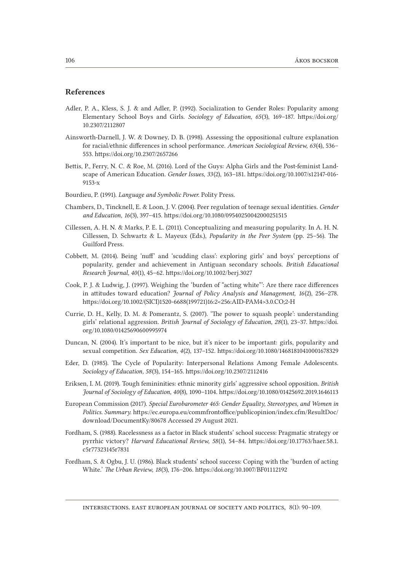### References

- Adler, P. A., Kless, S. J. & and Adler, P. (1992). Socialization to Gender Roles: Popularity among Elementary School Boys and Girls. *Sociology of Education, 65*(3), 169–187. [https://doi.org/](https://doi.org/10.2307/2112807) [10.2307/2112807](https://doi.org/10.2307/2112807)
- Ainsworth-Darnell, J. W. & Downey, D. B. (1998). Assessing the oppositional culture explanation for racial/ethnic differences in school performance. *American Sociological Review, 63*(4), 536– 553. https://doi.org/10.2307/2657266
- Bettis, P., Ferry, N. C. & Roe, M. (2016). Lord of the Guys: Alpha Girls and the Post-feminist Landscape of American Education. *Gender Issues*, *33* (2), 163–181. https://doi.org/10.1007/s12147-016- 9153-x
- Bourdieu, P. (1991). *Language and Symbolic Power*. Polity Press.
- Chambers, D., Tincknell, E. & Loon, J. V. (2004). Peer regulation of teenage sexual identities. *Gender and Education, 16*(3), 397–415. https://doi.org/10.1080/09540250042000251515
- Cillessen, A. H. N. & Marks, P. E. L. (2011). Conceptualizing and measuring popularity. In A. H. N. Cillessen, D. Schwartz & L. Mayeux (Eds.), *Popularity in the Peer System* (pp. 25–56). The Guilford Press.
- Cobbett, M. (2014). Being 'nuff' and 'scudding class': exploring girls' and boys' perceptions of popularity, gender and achievement in Antiguan secondary schools. *British Educational Research Journal, 40*(1), 45–62. https://doi.org/10.1002/berj.3027
- Cook, P. J. & Ludwig, J. (1997). Weighing the 'burden of "acting white"': Are there race differences in attitudes toward education? *Journal of Policy Analysis and Management, 16*(2), 256–278. [https://doi.org/10.1002/\(SICI\)1520-6688\(199721\)16:2<256:AID-PAM4>3.0.CO;2-H](https://doi.org/10.1002/%28SICI%291520-6688%28199721%2916:2%253C256::AID-PAM4%253E3.0.CO%3B2-H)
- Currie, D. H., Kelly, D. M. & Pomerantz, S. (2007). 'The power to squash people': understanding girls' relational aggression. *British Journal of Sociology of Education, 28*(1), 23–37. [https://doi.](https://doi.org/10.1080/01425690600995974) [org/10.1080/01425690600995974](https://doi.org/10.1080/01425690600995974)
- Duncan, N. (2004). It's important to be nice, but it's nicer to be important: girls, popularity and sexual competition. *Sex Education, 4*(2), 137–152. https://doi.org/10.1080/14681810410001678329
- Eder, D. (1985). The Cycle of Popularity: Interpersonal Relations Among Female Adolescents. *Sociology of Education, 58*(3), 154–165. https://doi.org/10.2307/2112416
- Eriksen, I. M. (2019). Tough femininities: ethnic minority girls' aggressive school opposition. *British Journal of Sociology of Education, 40*(8), 1090–1104. https://doi.org/10.1080/01425692.2019.1646113
- European Commission (2017). *Special Eurobarometer 465: Gender Equality, Stereotypes, and Women in Politics. Summary*. https://ec.europa.eu/commfrontoffice/publicopinion/index.cfm/ResultDoc/ download/DocumentKy/80678 Accessed 29 August 2021.
- Fordham, S. (1988). Racelessness as a factor in Black students' school success: Pragmatic strategy or pyrrhic victory? *Harvard Educational Review, 58*(1), 54–84. h[ttps://doi.org/10.17763/haer.58.1.](https://doi.org/10.17763/haer.58.1.c5r77323145r7831) [c5r77323145r7831](https://doi.org/10.17763/haer.58.1.c5r77323145r7831)
- Fordham, S. & Ogbu, J. U. (1986). Black students' school success: Coping with the 'burden of acting White.' *The Urban Review, 18*(3), 176–206. https://doi.org/10.1007/BF01112192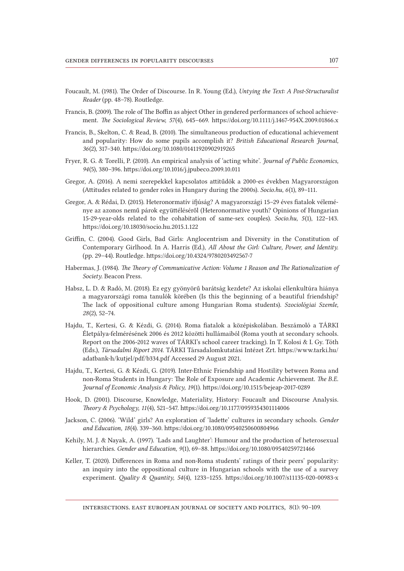- Foucault, M. (1981). The Order of Discourse. In R. Young (Ed.), *Untying the Text: A Post-Structuralist Reader* (pp. 48–78). Routledge.
- Francis, B. (2009). The role of The Boffin as abject Other in gendered performances of school achievement. *The Sociological Review, 57*(4), 645–669. [https://doi.org/10.1111/j.1467-954X.2009.01866.x](https://doi.org/10.1111%252Fj.1467-954X.2009.01866.x)
- Francis, B., Skelton, C. & Read, B. (2010). The simultaneous production of educational achievement and popularity: How do some pupils accomplish it? *British Educational Research Journal, 36*(2), 317–340. https://doi.org/10.1080/01411920902919265
- Fryer, R. G. & Torelli, P. (2010). An empirical analysis of 'acting white'. *Journal of Public Economics, 94*(5), 380–396. https://doi.org/10.1016/j.jpubeco.2009.10.011
- Gregor, A. (2016). A nemi szerepekkel kapcsolatos attitűdök a 2000-es években Magyarországon (Attitudes related to gender roles in Hungary during the 2000s). *Socio.hu, 6*(1), 89–111.
- Gregor, A. & Rédai, D. (2015). Heteronormatív ifjúság? A magyarországi 15–29 éves fiatalok véleménye az azonos nemű párok együttéléséről (Heteronormative youth? Opinions of Hungarian 15-29-year-olds related to the cohabitation of same-sex couples). *Socio.hu, 5*(1), 122–143. https://doi.org/10.18030/socio.hu.2015.1.122
- Griffin, C. (2004). Good Girls, Bad Girls: Anglocentrism and Diversity in the Constitution of Contemporary Girlhood. In A. Harris (Ed.), *All About the Girl: Culture, Power, and Identity*. (pp. 29–44). Routledge. https://doi.org/10.4324/9780203492567-7
- Habermas, J. (1984). *The Theory of Communicative Action: Volume 1 Reason and The Rationalization of Society*. Beacon Press.
- Habsz, L. D. & Radó, M. (2018). Ez egy gyönyörű barátság kezdete? Az iskolai ellenkultúra hiánya a magyarországi roma tanulók körében (Is this the beginning of a beautiful friendship? The lack of oppositional culture among Hungarian Roma students). *Szociológiai Szemle, 28*(2), 52–74.
- Hajdu, T., Kertesi, G. & Kézdi, G. (2014). Roma fiatalok a középiskolában. Beszámoló a TÁRKI Életpálya-felmérésének 2006 és 2012 közötti hullámaiból (Roma youth at secondary schools. Report on the 2006-2012 waves of TÁRKI's school career tracking). In T. Kolosi & I. Gy. Tóth (Eds.), *Társadalmi Riport 2014*. TÁRKI Társadalomkutatási Intézet Zrt. [https://www.tarki.hu/](https://www.tarki.hu/adatbank-h/kutjel/pdf/b334.pdf) [adatbank-h/kutjel/pdf/b334.pdf](https://www.tarki.hu/adatbank-h/kutjel/pdf/b334.pdf) Accessed 29 August 2021.
- Hajdu, T., Kertesi, G. & Kézdi, G. (2019). Inter-Ethnic Friendship and Hostility between Roma and non-Roma Students in Hungary: The Role of Exposure and Academic Achievement. *The B.E. Journal of Economic Analysis & Policy, 19*(1). https://doi.org/10.1515/bejeap-2017-0289
- Hook, D. (2001). Discourse, Knowledge, Materiality, History: Foucault and Discourse Analysis. *Theory & Psychology, 11*(4), 521–547. https://doi.org/10.1177/0959354301114006
- Jackson, C. (2006). 'Wild' girls? An exploration of 'ladette' cultures in secondary schools. *Gender and Education, 18*(4). 339–360. https://doi.org/10.1080/09540250600804966
- Kehily, M. J. & Nayak, A. (1997). 'Lads and Laughter': Humour and the production of heterosexual hierarchies. *Gender and Education, 9*(1), 69–88. https://doi.org/10.1080/09540259721466
- Keller, T. (2020). Differences in Roma and non-Roma students' ratings of their peers' popularity: an inquiry into the oppositional culture in Hungarian schools with the use of a survey experiment. *Quality & Quantity, 54*(4), 1233–1255. https://doi.org/10.1007/s11135-020-00983-x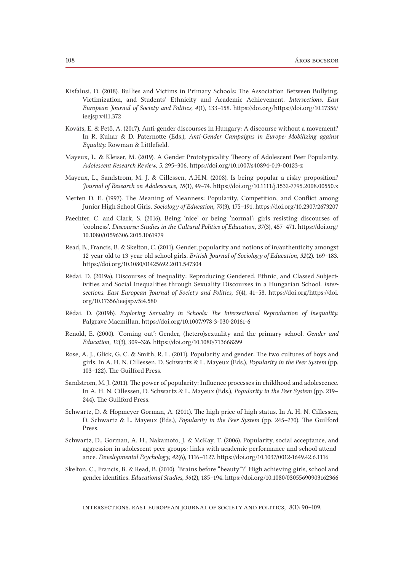- Kisfalusi, D. (2018). Bullies and Victims in Primary Schools: The Association Between Bullying, Victimization, and Students' Ethnicity and Academic Achievement. *Intersections. East European Journal of Society and Politics, 4*(1), 133–158. https://doi.org/https://doi.org/10.17356/ ieejsp.v4i1.372
- Kováts, E. & Pető, A. (2017). Anti-gender discourses in Hungary: A discourse without a movement? In R. Kuhar & D. Paternotte (Eds.), *Anti-Gender Campaigns in Europe: Mobilizing against Equality*. Rowman & Littlefield.
- Mayeux, L. & Kleiser, M. (2019). A Gender Prototypicality Theory of Adolescent Peer Popularity. *Adolescent Research Review, 5*. 295–306. https://doi.org/10.1007/s40894-019-00123-z
- Mayeux, L., Sandstrom, M. J. & Cillessen, A.H.N. (2008). Is being popular a risky proposition? *Journal of Research on Adolescence, 18*(1), 49–74. https://doi.org/10.1111/j.1532-7795.2008.00550.x
- Merten D. E. (1997). The Meaning of Meanness: Popularity, Competition, and Conflict among Junior High School Girls. *Sociology of Education, 70*(3), 175–191. https://doi.org/10.2307/2673207
- Paechter, C. and Clark, S. (2016). Being 'nice' or being 'normal': girls resisting discourses of 'coolness'. *Discourse: Studies in the Cultural Politics of Education, 37*(3), 457–471. [https://doi.org/](https://doi.org/10.1080/01596306.2015.1061979) [10.1080/01596306.2015.1061979](https://doi.org/10.1080/01596306.2015.1061979)
- Read, B., Francis, B. & Skelton, C. (2011). Gender, popularity and notions of in/authenticity amongst 12‐year‐old to 13‐year‐old school girls. *British Journal of Sociology of Education, 32*(2). 169–183. https://doi.org/10.1080/01425692.2011.547304
- Rédai, D. (2019a). Discourses of Inequality: Reproducing Gendered, Ethnic, and Classed Subjectivities and Social Inequalities through Sexuality Discourses in a Hungarian School. *Intersections. East European Journal of Society and Politics, 5*(4), 41–58. [https://doi.org/https://doi.](https://doi.org/10.17356/ieejsp.v5i4.580) [org/10.17356/ieejsp.v5i4.580](https://doi.org/10.17356/ieejsp.v5i4.580)
- Rédai, D. (2019b). *Exploring Sexuality in Schools: The Intersectional Reproduction of Inequality*. Palgrave Macmillan. https://doi.org/10.1007/978-3-030-20161-6
- Renold, E. (2000). 'Coming out': Gender, (hetero)sexuality and the primary school. *Gender and Education, 12*(3), 309–326. https://doi.org/10.1080/713668299
- Rose, A. J., Glick, G. C. & Smith, R. L. (2011). Popularity and gender: The two cultures of boys and girls. In A. H. N. Cillessen, D. Schwartz & L. Mayeux (Eds.), *Popularity in the Peer System* (pp. 103–122). The Guilford Press.
- Sandstrom, M. J. (2011). The power of popularity: Influence processes in childhood and adolescence. In A. H. N. Cillessen, D. Schwartz & L. Mayeux (Eds.), *Popularity in the Peer System* (pp. 219– 244). The Guilford Press.
- Schwartz, D. & Hopmeyer Gorman, A. (2011). The high price of high status. In A. H. N. Cillessen, D. Schwartz & L. Mayeux (Eds.), *Popularity in the Peer System* (pp. 245–270). The Guilford Press.
- Schwartz, D., Gorman, A. H., Nakamoto, J. & McKay, T. (2006). Popularity, social acceptance, and aggression in adolescent peer groups: links with academic performance and school attendance. *Developmental Psychology, 42*(6), 1116–1127. https://doi.org/10.1037/0012-1649.42.6.1116
- Skelton, C., Francis, B. & Read, B. (2010). 'Brains before "beauty"?' High achieving girls, school and gender identities. *Educational Studies, 36*(2), 185–194. https://doi.org/10.1080/03055690903162366